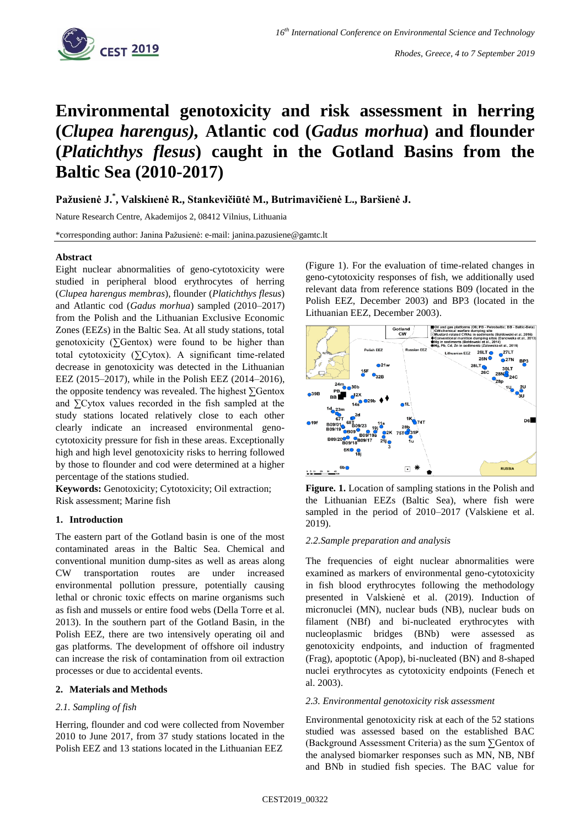

# **Environmental genotoxicity and risk assessment in herring (***Clupea harengus),* **Atlantic cod (***Gadus morhua***) and flounder (***Platichthys flesus***) caught in the Gotland Basins from the Baltic Sea (2010-2017)**

**Pažusienė J. \* , Valskiıenė R., Stankevičiūtė M., Butrimavičienė L., Baršienė J.**

Nature Research Centre, Akademijos 2, 08412 Vilnius, Lithuania

\*corresponding author: Janina Pažusienė: e-mail: janina.pazusiene@gamtc.lt

## **Abstract**

Eight nuclear abnormalities of geno-cytotoxicity were studied in peripheral blood erythrocytes of herring (*Clupea harengus membras*), flounder (*Platichthys flesus*) and Atlantic cod (*Gadus morhua*) sampled (2010–2017) from the Polish and the Lithuanian Exclusive Economic Zones (EEZs) in the Baltic Sea. At all study stations, total genotoxicity ( $\Sigma$ Gentox) were found to be higher than total cytotoxicity (∑Cytox). A significant time-related decrease in genotoxicity was detected in the Lithuanian EEZ (2015–2017), while in the Polish EEZ (2014–2016), the opposite tendency was revealed. The highest ∑Gentox and ∑Cytox values recorded in the fish sampled at the study stations located relatively close to each other clearly indicate an increased environmental genocytotoxicity pressure for fish in these areas. Exceptionally high and high level genotoxicity risks to herring followed by those to flounder and cod were determined at a higher percentage of the stations studied.

**Keywords:** Genotoxicity; Cytotoxicity; Oil extraction; Risk assessment; Marine fish

## **1. Introduction**

The eastern part of the Gotland basin is one of the most contaminated areas in the Baltic Sea. Chemical and conventional munition dump-sites as well as areas along CW transportation routes are under increased environmental pollution pressure, potentially causing lethal or chronic toxic effects on marine organisms such as fish and mussels or entire food webs (Della Torre et al. 2013). In the southern part of the Gotland Basin, in the Polish EEZ, there are two intensively operating oil and gas platforms. The development of offshore oil industry can increase the risk of contamination from oil extraction processes or due to accidental events.

## **2. Materials and Methods**

## *2.1. Sampling of fish*

Herring, flounder and cod were collected from November 2010 to June 2017, from 37 study stations located in the Polish EEZ and 13 stations located in the Lithuanian EEZ

(Figure 1). For the evaluation of time-related changes in geno-cytotoxicity responses of fish, we additionally used relevant data from reference stations B09 (located in the Polish EEZ, December 2003) and BP3 (located in the Lithuanian EEZ, December 2003).



**Figure. 1.** Location of sampling stations in the Polish and the Lithuanian EEZs (Baltic Sea), where fish were sampled in the period of 2010–2017 (Valskiene et al. 2019).

## *2.2.Sample preparation and analysis*

The frequencies of eight nuclear abnormalities were examined as markers of environmental geno-cytotoxicity in fish blood erythrocytes following the methodology presented in Valskienė et al. (2019). Induction of micronuclei (MN), nuclear buds (NB), nuclear buds on filament (NBf) and bi-nucleated erythrocytes with nucleoplasmic bridges (BNb) were assessed as genotoxicity endpoints, and induction of fragmented (Frag), apoptotic (Apop), bi-nucleated (BN) and 8-shaped nuclei erythrocytes as cytotoxicity endpoints (Fenech et al. 2003).

## *2.3. Environmental genotoxicity risk assessment*

Environmental genotoxicity risk at each of the 52 stations studied was assessed based on the established BAC (Background Assessment Criteria) as the sum ∑Gentox of the analysed biomarker responses such as MN, NB, NBf and BNb in studied fish species. The BAC value for